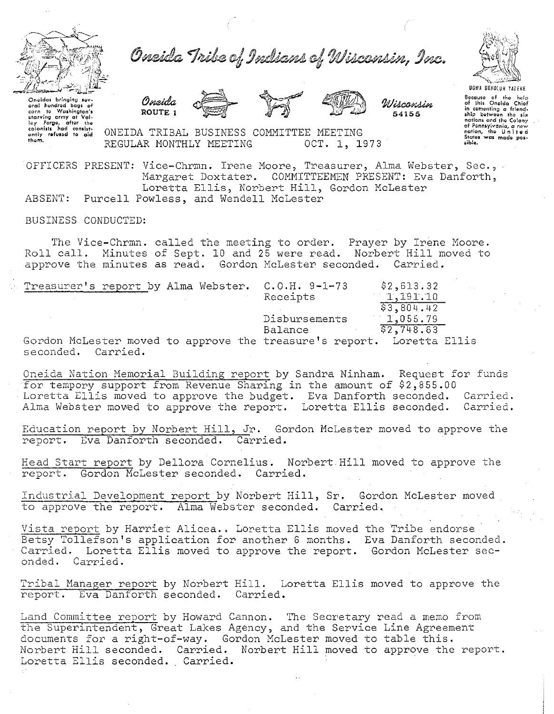

Oneida Tribe of Indians of Wisconsin, Inc.





Wiscomsin 54155

Oneidas bringing sev-<br>orch hundred bogs of<br>corn to Washington's<br>starving ormy at Val-<br>ley Forge, after the<br>colonists had consist-<br>entiy refused to aid them.

ONEIDA TRIBAL BUSINESS COMMITTEE MEETING REGULAR MONTHLY MEETING OCT. 1, 1973

OFFICERS PRESENT: Vice-Chrmn. Irene Moore, Treasurer, Alma Webster, Sec., Margaret Doxtater. COMMITTEEMEN PRESENT: Eva Danforth, Loretta Ellis, Norbert Hill, Gordon McLester ABSENT: Purcell Powless, and Wendell McLester

## BUSINESS CONDUCTED:

The Vice-Chrmn. called the meeting to order. Prayer by Irene Moore. Roll call. Minutes of Sept. 10 and 25 were read. Norbert Hill moved to approve the minutes as read. Gordon McLester seconded. Carried.

| Treasurer's report by Alma Webster. C.O.H. 9-1-73                                           |               | \$2,613.32<br><b>Contract</b> |
|---------------------------------------------------------------------------------------------|---------------|-------------------------------|
|                                                                                             | Receipts      | 1,191.10                      |
|                                                                                             |               | \$3,804.42                    |
|                                                                                             | Disbursements | 1,055.79                      |
|                                                                                             | Balance       | 52.748.63                     |
| Gordon McLester moved to approve the treasure's report. Loretta Ellis<br>seconded. Carried. |               |                               |

Oneida Nation Memorial Building report by Sandra Ninham. Request for funds for tempory support from Revenue Sharing in the amount of \$2,855.00 Loretta Ellis moved to approve the budget. Eva Danforth seconded. Carried. Alma Webster mowed to approve the report. Loretta Ellis seconded. Carried.

Education report by Norbert Hill, Jr. Gordon McLester moved to approve the report. Eva Danforth seconded. Carried.

Head Start report by Dellora Cornelius. Norbert Hill moved to approve the report. Gordon McLester seconded. Carried.

Industrial Development report by Norbert Hill, Sr. Gordon McLester moved to approve the report. Alma Webster seconded. Carried.

Vista report by Harriet Alicea.. Loretta Ellis moved the Tribe endorse Betsy Tollefson's application for another 6 months. Eva Danforth seconded. Carried. Loretta Ellis moved to approve the report. Gordon McLester seconded. Carried.

Tribal Manager report by Norbert Hill. Loretta Ellis moved to approve the report. Eva Danforth seconded. Carried.

Land Committee report by Howard Cannon. The Secretary read a memo from The Superintendent, Great Lakes Agency, and the Service Line Agreement documents for a right-of-way. Gordon McLester moved to table this. Norbert Hill seconded. Carried. Norbert Hill moved to approve the report. Loretta Ellis seconded. Carried.



Bocause of the help<br>of this Oneida Chiof<br>in cementing a friendship between the six<br>nations and the Colony of Ponn•ylvonio, o new notion, lhlil U n i t Iii *<sup>d</sup>* States was mode pos-<br>sible.